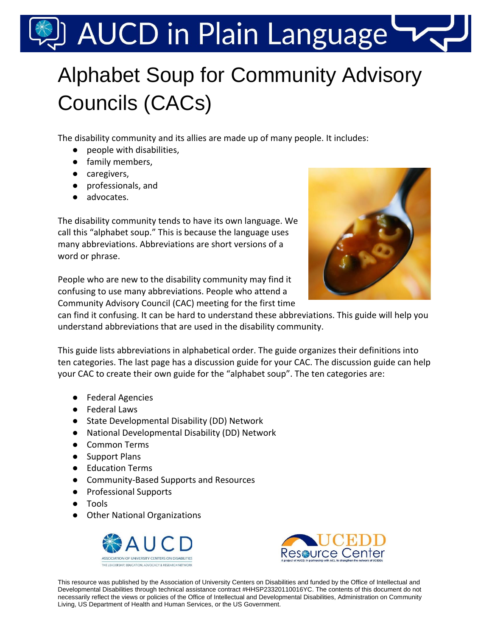# AUCD in Plain Language

## Alphabet Soup for Community Advisory Councils (CACs)

The disability community and its allies are made up of many people. It includes:

- people with disabilities,
- family members,
- caregivers,
- professionals, and
- advocates.

The disability community tends to have its own language. We call this "alphabet soup." This is because the language uses many abbreviations. Abbreviations are short versions of a word or phrase.



People who are new to the disability community may find it confusing to use many abbreviations. People who attend a Community Advisory Council (CAC) meeting for the first time

can find it confusing. It can be hard to understand these abbreviations. This guide will help you understand abbreviations that are used in the disability community.

This guide lists abbreviations in alphabetical order. The guide organizes their definitions into ten categories. The last page has a discussion guide for your CAC. The discussion guide can help your CAC to create their own guide for the "alphabet soup". The ten categories are:

- Federal Agencies
- Federal Laws
- State Developmental Disability (DD) Network
- National Developmental Disability (DD) Network
- Common Terms
- Support Plans
- Education Terms
- Community-Based Supports and Resources
- Professional Supports
- Tools
- Other National Organizations





This resource was published by the Association of University Centers on Disabilities and funded by the Office of Intellectual and Developmental Disabilities through technical assistance contract #HHSP23320110016YC. The contents of this document do not necessarily reflect the views or policies of the Office of Intellectual and Developmental Disabilities, Administration on Community Living, US Department of Health and Human Services, or the US Government.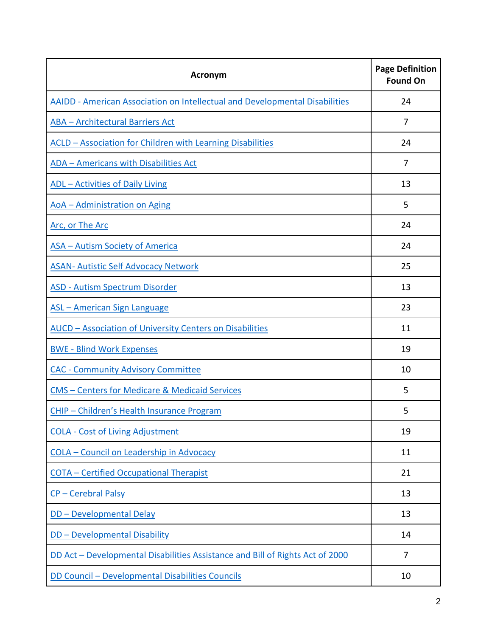| <b>Acronym</b>                                                                | <b>Page Definition</b><br><b>Found On</b> |
|-------------------------------------------------------------------------------|-------------------------------------------|
| AAIDD - American Association on Intellectual and Developmental Disabilities   | 24                                        |
| <b>ABA - Architectural Barriers Act</b>                                       | 7                                         |
| <b>ACLD - Association for Children with Learning Disabilities</b>             | 24                                        |
| <b>ADA - Americans with Disabilities Act</b>                                  | 7                                         |
| <b>ADL</b> - Activities of Daily Living                                       | 13                                        |
| <b>AoA</b> - Administration on Aging                                          | 5                                         |
| Arc, or The Arc                                                               | 24                                        |
| <b>ASA - Autism Society of America</b>                                        | 24                                        |
| <b>ASAN- Autistic Self Advocacy Network</b>                                   | 25                                        |
| <b>ASD - Autism Spectrum Disorder</b>                                         | 13                                        |
| <b>ASL - American Sign Language</b>                                           | 23                                        |
| <b>AUCD - Association of University Centers on Disabilities</b>               | 11                                        |
| <b>BWE - Blind Work Expenses</b>                                              | 19                                        |
| <b>CAC - Community Advisory Committee</b>                                     | 10                                        |
| <b>CMS - Centers for Medicare &amp; Medicaid Services</b>                     | 5                                         |
| CHIP - Children's Health Insurance Program                                    | 5                                         |
| <b>COLA - Cost of Living Adjustment</b>                                       | 19                                        |
| <b>COLA - Council on Leadership in Advocacy</b>                               | 11                                        |
| <b>COTA - Certified Occupational Therapist</b>                                | 21                                        |
| CP-Cerebral Palsy                                                             | 13                                        |
| DD - Developmental Delay                                                      | 13                                        |
| <b>DD-Developmental Disability</b>                                            | 14                                        |
| DD Act - Developmental Disabilities Assistance and Bill of Rights Act of 2000 | 7                                         |
| DD Council - Developmental Disabilities Councils                              | 10                                        |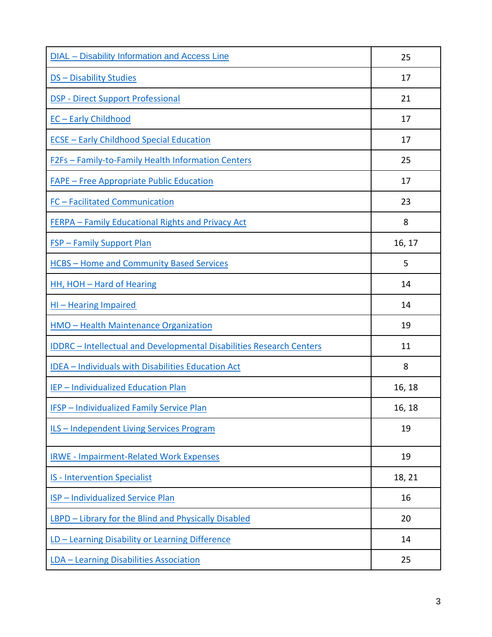| <b>DIAL</b> - Disability Information and Access Line                        | 25     |
|-----------------------------------------------------------------------------|--------|
| <b>DS - Disability Studies</b>                                              | 17     |
| <b>DSP - Direct Support Professional</b>                                    | 21     |
| <b>EC-Early Childhood</b>                                                   | 17     |
| <b>ECSE - Early Childhood Special Education</b>                             | 17     |
| <b>F2Fs - Family-to-Family Health Information Centers</b>                   | 25     |
| <b>FAPE - Free Appropriate Public Education</b>                             | 17     |
| FC - Facilitated Communication                                              | 23     |
| FERPA - Family Educational Rights and Privacy Act                           | 8      |
| <b>FSP - Family Support Plan</b>                                            | 16, 17 |
| <b>HCBS-Home and Community Based Services</b>                               | 5      |
| <b>HH, HOH - Hard of Hearing</b>                                            | 14     |
| <b>HI-Hearing Impaired</b>                                                  | 14     |
| <b>HMO - Health Maintenance Organization</b>                                | 19     |
| <b>IDDRC</b> - Intellectual and Developmental Disabilities Research Centers | 11     |
| <b>IDEA - Individuals with Disabilities Education Act</b>                   | 8      |
| <b>IEP - Individualized Education Plan</b>                                  | 16, 18 |
| <b>IFSP</b> - Individualized Family Service Plan                            | 16, 18 |
| <b>ILS - Independent Living Services Program</b>                            | 19     |
| <b>IRWE - Impairment-Related Work Expenses</b>                              | 19     |
| <b>IS - Intervention Specialist</b>                                         | 18, 21 |
| <b>ISP</b> - Individualized Service Plan                                    | 16     |
| LBPD - Library for the Blind and Physically Disabled                        | 20     |
| LD - Learning Disability or Learning Difference                             | 14     |
| LDA - Learning Disabilities Association                                     | 25     |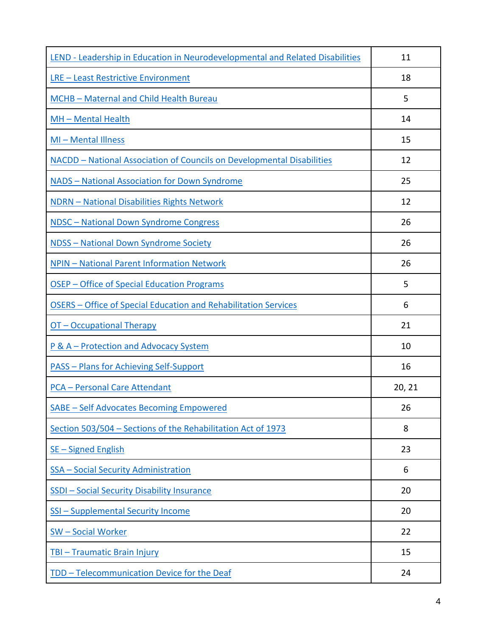| LEND - Leadership in Education in Neurodevelopmental and Related Disabilities | 11     |
|-------------------------------------------------------------------------------|--------|
| <b>LRE - Least Restrictive Environment</b>                                    | 18     |
| MCHB - Maternal and Child Health Bureau                                       | 5      |
| MH - Mental Health                                                            | 14     |
| MI-Mental Illness                                                             | 15     |
| NACDD - National Association of Councils on Developmental Disabilities        | 12     |
| NADS - National Association for Down Syndrome                                 | 25     |
| <b>NDRN - National Disabilities Rights Network</b>                            | 12     |
| <b>NDSC</b> - National Down Syndrome Congress                                 | 26     |
| <b>NDSS - National Down Syndrome Society</b>                                  | 26     |
| <b>NPIN - National Parent Information Network</b>                             | 26     |
| OSEP - Office of Special Education Programs                                   | 5      |
| OSERS - Office of Special Education and Rehabilitation Services               | 6      |
| OT - Occupational Therapy                                                     | 21     |
| P & A - Protection and Advocacy System                                        | 10     |
| <b>PASS - Plans for Achieving Self-Support</b>                                | 16     |
| <b>PCA - Personal Care Attendant</b>                                          | 20, 21 |
| <b>SABE - Self Advocates Becoming Empowered</b>                               | 26     |
| Section 503/504 - Sections of the Rehabilitation Act of 1973                  | 8      |
| <b>SE-Signed English</b>                                                      | 23     |
| SSA - Social Security Administration                                          | 6      |
| <b>SSDI - Social Security Disability Insurance</b>                            | 20     |
| <b>SSI - Supplemental Security Income</b>                                     | 20     |
| <b>SW-Social Worker</b>                                                       | 22     |
| <b>TBI - Traumatic Brain Injury</b>                                           | 15     |
| TDD - Telecommunication Device for the Deaf                                   | 24     |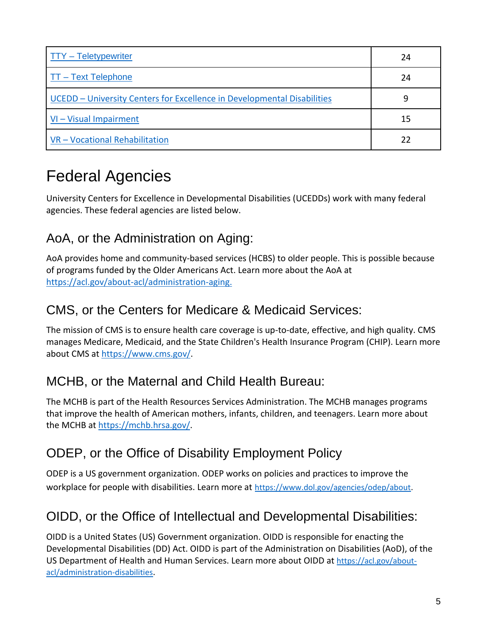| $TTY - Teletypewriter$                                                  | 24 |
|-------------------------------------------------------------------------|----|
| $TT - Text Telephone$                                                   | 24 |
| UCEDD - University Centers for Excellence in Developmental Disabilities | 9  |
| $VI - Visual Impairment$                                                | 15 |
| VR - Vocational Rehabilitation                                          | 22 |

## Federal Agencies

University Centers for Excellence in Developmental Disabilities (UCEDDs) work with many federal agencies. These federal agencies are listed below.

#### <span id="page-4-0"></span>AoA, or the Administration on Aging:

AoA provides home and community-based services (HCBS) to older people. This is possible because of programs funded by the Older Americans Act. Learn more about the AoA at https://acl.gov/about-acl/administration-aging.

#### <span id="page-4-1"></span>CMS, or the Centers for Medicare & Medicaid Services:

The mission of CMS is to ensure health care coverage is up-to-date, effective, and high quality. CMS manages Medicare, Medicaid, and the State Children's Health Insurance Program (CHIP). Learn more about CMS at [https://www.cms.gov/.](https://www.cms.gov/)

#### <span id="page-4-2"></span>MCHB, or the Maternal and Child Health Bureau:

The MCHB is part of the Health Resources Services Administration. The MCHB manages programs that improve the health of American mothers, infants, children, and teenagers. Learn more about the MCHB at [https://mchb.hrsa.gov/.](https://mchb.hrsa.gov/)

#### ODEP, or the Office of Disability Employment Policy

ODEP is a US government organization. ODEP works on policies and practices to improve the workplace for people with disabilities. Learn more at <https://www.dol.gov/agencies/odep/about>.

#### OIDD, or the Office of Intellectual and Developmental Disabilities:

OIDD is a United States (US) Government organization. OIDD is responsible for enacting the Developmental Disabilities (DD) Act. OIDD is part of the Administration on Disabilities (AoD), of the US Department of Health and Human Services. Learn more about OIDD at [https://acl.gov/about](https://acl.gov/about-acl/administration-disabilities)[acl/administration-disabilities](https://acl.gov/about-acl/administration-disabilities).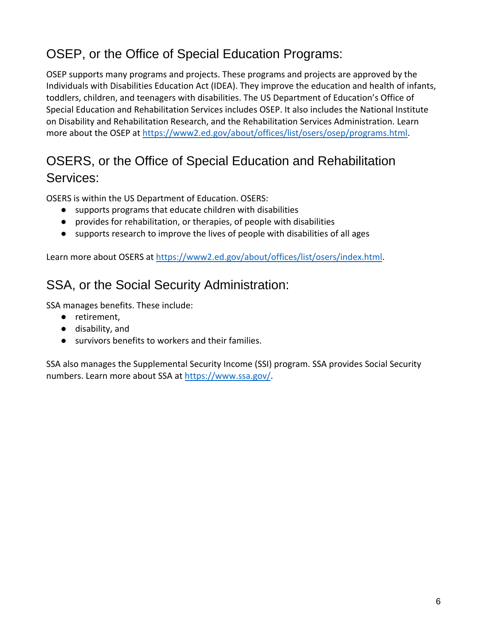#### <span id="page-5-0"></span>OSEP, or the Office of Special Education Programs:

OSEP supports many programs and projects. These programs and projects are approved by the Individuals with Disabilities Education Act (IDEA). They improve the education and health of infants, toddlers, children, and teenagers with disabilities. The US Department of Education's Office of Special Education and Rehabilitation Services includes OSEP. It also includes the National Institute on Disability and Rehabilitation Research, and the Rehabilitation Services Administration. Learn more about the OSEP at [https://www2.ed.gov/about/offices/list/osers/osep/programs.html.](https://www2.ed.gov/about/offices/list/osers/osep/programs.html)

#### <span id="page-5-1"></span>OSERS, or the Office of Special Education and Rehabilitation Services:

OSERS is within the US Department of Education. OSERS:

- supports programs that educate children with disabilities
- provides for rehabilitation, or therapies, of people with disabilities
- supports research to improve the lives of people with disabilities of all ages

<span id="page-5-2"></span>Learn more about OSERS at [https://www2.ed.gov/about/offices/list/osers/index.html.](https://www2.ed.gov/about/offices/list/osers/index.html)

#### SSA, or the Social Security Administration:

SSA manages benefits. These include:

- retirement,
- disability, and
- survivors benefits to workers and their families.

SSA also manages the Supplemental Security Income (SSI) program. SSA provides Social Security numbers. Learn more about SSA at [https://www.ssa.gov/.](https://www.ssa.gov/)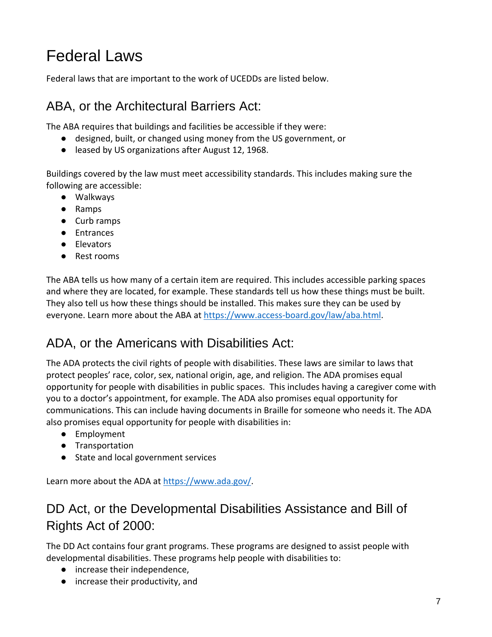## Federal Laws

<span id="page-6-0"></span>Federal laws that are important to the work of UCEDDs are listed below.

#### ABA, or the Architectural Barriers Act:

The ABA requires that buildings and facilities be accessible if they were:

- designed, built, or changed using money from the US government, or
- leased by US organizations after August 12, 1968.

Buildings covered by the law must meet accessibility standards. This includes making sure the following are accessible:

- Walkways
- Ramps
- Curb ramps
- Entrances
- Elevators
- Rest rooms

The ABA tells us how many of a certain item are required. This includes accessible parking spaces and where they are located, for example. These standards tell us how these things must be built. They also tell us how these things should be installed. This makes sure they can be used by everyone. Learn more about the ABA at [https://www.access-board.gov/law/aba.html.](https://www.access-board.gov/law/aba.html)

#### <span id="page-6-1"></span>ADA, or the Americans with Disabilities Act:

The ADA protects the civil rights of people with disabilities. These laws are similar to laws that protect peoples' race, color, sex, national origin, age, and religion. The ADA promises equal opportunity for people with disabilities in public spaces. This includes having a caregiver come with you to a doctor's appointment, for example. The ADA also promises equal opportunity for communications. This can include having documents in Braille for someone who needs it. The ADA also promises equal opportunity for people with disabilities in:

- Employment
- Transportation
- State and local government services

<span id="page-6-2"></span>Learn more about the ADA at [https://www.ada.gov/.](https://www.ada.gov/)

#### DD Act, or the Developmental Disabilities Assistance and Bill of Rights Act of 2000:

The DD Act contains four grant programs. These programs are designed to assist people with developmental disabilities. These programs help people with disabilities to:

- increase their independence,
- increase their productivity, and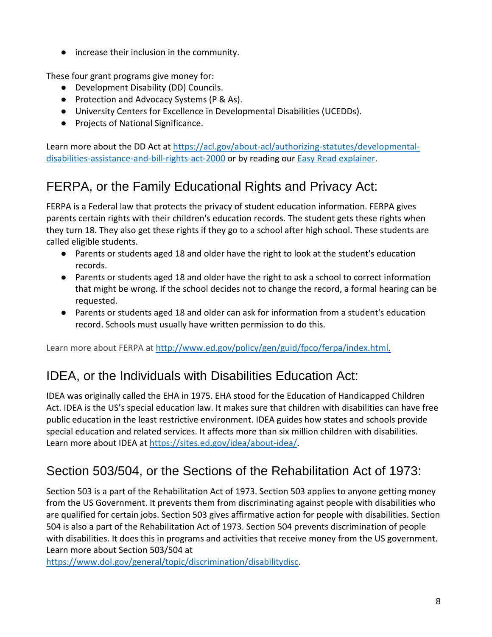● increase their inclusion in the community.

These four grant programs give money for:

- Development Disability (DD) Councils.
- Protection and Advocacy Systems (P & As).
- University Centers for Excellence in Developmental Disabilities (UCEDDs).
- Projects of National Significance.

Learn more about the DD Act at [https://acl.gov/about-acl/authorizing-statutes/developmental](https://acl.gov/about-acl/authorizing-statutes/developmental-disabilities-assistance-and-bill-rights-act-2000)[disabilities-assistance-and-bill-rights-act-2000](https://acl.gov/about-acl/authorizing-statutes/developmental-disabilities-assistance-and-bill-rights-act-2000) or by reading our [Easy Read explainer.](https://www.aucd.org/docs/publications/DD%20Act%20Plain%20Language_EasyRead.pdf)

#### <span id="page-7-0"></span>FERPA, or the Family Educational Rights and Privacy Act:

FERPA is a Federal law that protects the privacy of student education information. FERPA gives parents certain rights with their children's education records. The student gets these rights when they turn 18. They also get these rights if they go to a school after high school. These students are called eligible students.

- Parents or students aged 18 and older have the right to look at the student's education records.
- Parents or students aged 18 and older have the right to ask a school to correct information that might be wrong. If the school decides not to change the record, a formal hearing can be requested.
- Parents or students aged 18 and older can ask for information from a student's education record. Schools must usually have written permission to do this.

<span id="page-7-1"></span>Learn more about FERPA at [http://www.ed.gov/policy/gen/guid/fpco/ferpa/index.html.](http://www.ed.gov/policy/gen/guid/fpco/ferpa/index.html)

#### IDEA, or the Individuals with Disabilities Education Act:

IDEA was originally called the EHA in 1975. EHA stood for the Education of Handicapped Children Act. IDEA is the US's special education law. It makes sure that children with disabilities can have free public education in the least restrictive environment. IDEA guides how states and schools provide special education and related services. It affects more than six million children with disabilities. Learn more about IDEA at [https://sites.ed.gov/idea/about-idea/.](https://sites.ed.gov/idea/about-idea/)

#### <span id="page-7-2"></span>Section 503/504, or the Sections of the Rehabilitation Act of 1973:

Section 503 is a part of the Rehabilitation Act of 1973. Section 503 applies to anyone getting money from the US Government. It prevents them from discriminating against people with disabilities who are qualified for certain jobs. Section 503 gives affirmative action for people with disabilities. Section 504 is also a part of the Rehabilitation Act of 1973. Section 504 prevents discrimination of people with disabilities. It does this in programs and activities that receive money from the US government. Learn more about Section 503/504 at

[https://www.dol.gov/general/topic/discrimination/disabilitydisc.](https://www.dol.gov/general/topic/discrimination/disabilitydisc)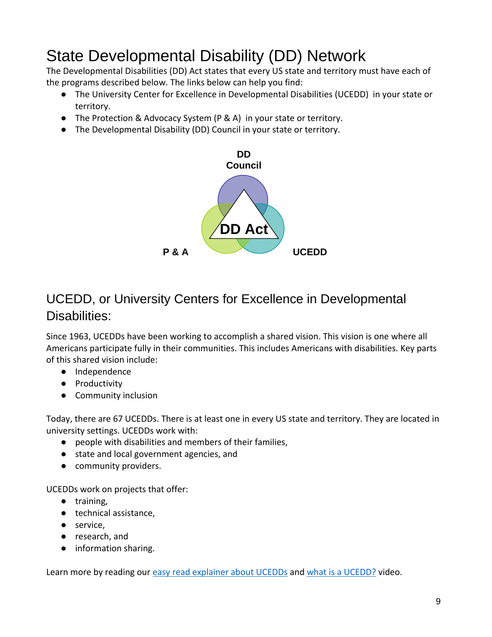## State Developmental Disability (DD) Network

The Developmental Disabilities (DD) Act states that every US state and territory must have each of the programs described below. The links below can help you find:

- The University Center for Excellence in Developmental Disabilities (UCEDD) in your state or territory.
- The Protection & Advocacy System (P & A) in your state or territory.
- The Developmental Disability (DD) Council in your state or territory.



#### <span id="page-8-0"></span>UCEDD, or University Centers for Excellence in Developmental Disabilities:

Since 1963, UCEDDs have been working to accomplish a shared vision. This vision is one where all Americans participate fully in their communities. This includes Americans with disabilities. Key parts of this shared vision include:

- Independence
- Productivity
- Community inclusion

Today, there are 67 UCEDDs. There is at least one in every US state and territory. They are located in university settings. UCEDDs work with:

- people with disabilities and members of their families,
- state and local government agencies, and
- community providers.

UCEDDs work on projects that offer:

- training,
- technical assistance,
- service,
- research, and
- information sharing.

Learn more by reading our [easy read explainer about UCEDDs](https://www.aucd.org/docs/publications/brochures/The%20UCEDD%20Framework_easyread.pdf) and [what is a UCEDD?](https://www.youtube.com/watch?v=_NBSh220HxA) video.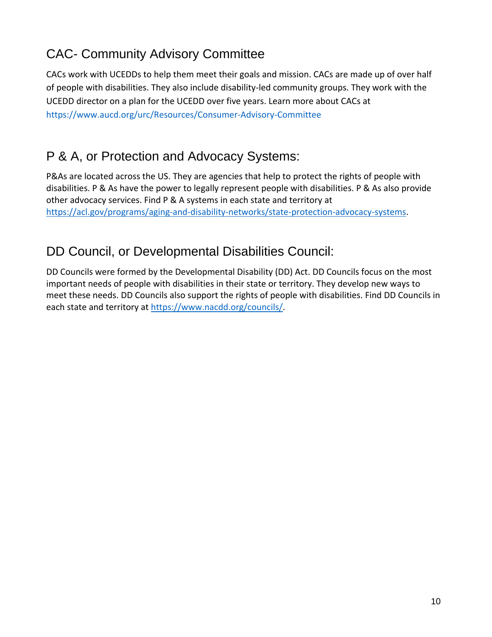#### <span id="page-9-0"></span>CAC- Community Advisory Committee

CACs work with UCEDDs to help them meet their goals and mission. CACs are made up of over half of people with disabilities. They also include disability-led community groups. They work with the UCEDD director on a plan for the UCEDD over five years. Learn more about CACs at <https://www.aucd.org/urc/Resources/Consumer-Advisory-Committee>

#### <span id="page-9-2"></span>P & A, or Protection and Advocacy Systems:

P&As are located across the US. They are agencies that help to protect the rights of people with disabilities. P & As have the power to legally represent people with disabilities. P & As also provide other advocacy services. Find P & A systems in each state and territory at [https://acl.gov/programs/aging-and-disability-networks/state-protection-advocacy-systems.](https://acl.gov/programs/aging-and-disability-networks/state-protection-advocacy-systems)

#### <span id="page-9-1"></span>DD Council, or Developmental Disabilities Council:

DD Councils were formed by the Developmental Disability (DD) Act. DD Councils focus on the most important needs of people with disabilities in their state or territory. They develop new ways to meet these needs. DD Councils also support the rights of people with disabilities. Find DD Councils in each state and territory at [https://www.nacdd.org/councils/.](https://www.nacdd.org/councils/)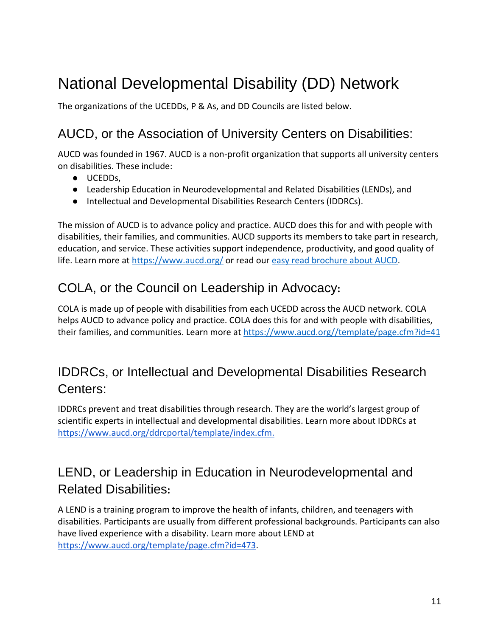## National Developmental Disability (DD) Network

<span id="page-10-0"></span>The organizations of the UCEDDs, P & As, and DD Councils are listed below.

#### AUCD, or the Association of University Centers on Disabilities:

AUCD was founded in 1967. AUCD is a non-profit organization that supports all university centers on disabilities. These include:

- UCEDDs,
- Leadership Education in Neurodevelopmental and Related Disabilities (LENDs), and
- Intellectual and Developmental Disabilities Research Centers (IDDRCs).

The mission of AUCD is to advance policy and practice. AUCD does this for and with people with disabilities, their families, and communities. AUCD supports its members to take part in research, education, and service. These activities support independence, productivity, and good quality of life. Learn more at<https://www.aucd.org/> or read our [easy read brochure about AUCD.](https://www.aucd.org/docs/publications/brochures/AUCD%20Brochure%20Easy%20Read.pdf)

#### <span id="page-10-1"></span>COLA, or the Council on Leadership in Advocacy**:**

COLA is made up of people with disabilities from each UCEDD across the AUCD network. COLA helps AUCD to advance policy and practice. COLA does this for and with people with disabilities, their families, and communities. Learn more at [https://www.aucd.org//template/page.cfm?id=41](https://www.aucd.org/template/page.cfm?id=41)

#### <span id="page-10-2"></span>IDDRCs, or Intellectual and Developmental Disabilities Research Centers:

IDDRCs prevent and treat disabilities through research. They are the world's largest group of scientific experts in intellectual and developmental disabilities. Learn more about IDDRCs at [https://www.aucd.org/ddrcportal/template/index.cfm.](https://www.aucd.org/ddrcportal/template/index.cfm)

#### <span id="page-10-3"></span>LEND, or Leadership in Education in Neurodevelopmental and Related Disabilities**:**

A LEND is a training program to improve the health of infants, children, and teenagers with disabilities. Participants are usually from different professional backgrounds. Participants can also have lived experience with a disability. Learn more about LEND at [https://www.aucd.org/template/page.cfm?id=473.](https://www.aucd.org/template/page.cfm?id=473)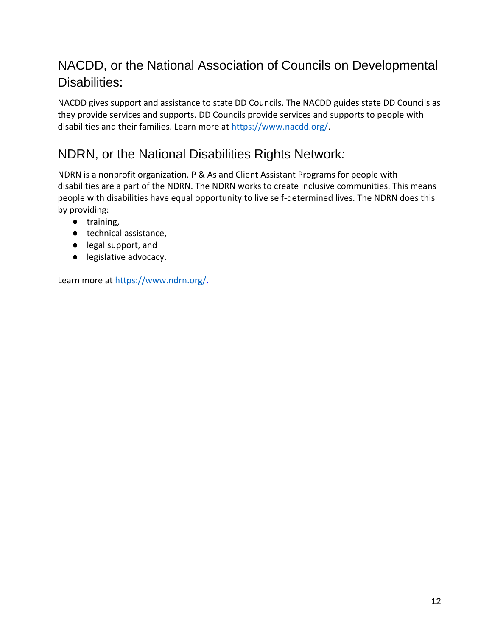#### <span id="page-11-0"></span>NACDD, or the National Association of Councils on Developmental Disabilities:

NACDD gives support and assistance to state DD Councils. The NACDD guides state DD Councils as they provide services and supports. DD Councils provide services and supports to people with disabilities and their families. Learn more at [https://www.nacdd.org/.](https://www.nacdd.org/)

#### <span id="page-11-1"></span>NDRN, or the National Disabilities Rights Network*:*

NDRN is a nonprofit organization. P & As and Client Assistant Programs for people with disabilities are a part of the NDRN. The NDRN works to create inclusive communities. This means people with disabilities have equal opportunity to live self-determined lives. The NDRN does this by providing:

- training,
- technical assistance,
- legal support, and
- legislative advocacy.

Learn more at [https://www.ndrn.org/.](https://www.ndrn.org/)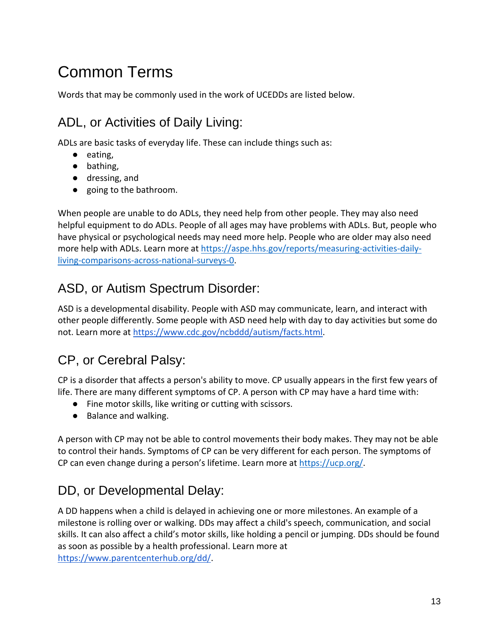## Common Terms

<span id="page-12-0"></span>Words that may be commonly used in the work of UCEDDs are listed below.

#### ADL, or Activities of Daily Living:

ADLs are basic tasks of everyday life. These can include things such as:

- eating,
- bathing,
- dressing, and
- going to the bathroom.

When people are unable to do ADLs, they need help from other people. They may also need helpful equipment to do ADLs. People of all ages may have problems with ADLs. But, people who have physical or psychological needs may need more help. People who are older may also need more help with ADLs. Learn more at [https://aspe.hhs.gov/reports/measuring-activities-daily](https://aspe.hhs.gov/reports/measuring-activities-daily-living-comparisons-across-national-surveys-0)[living-comparisons-across-national-surveys-0.](https://aspe.hhs.gov/reports/measuring-activities-daily-living-comparisons-across-national-surveys-0)

#### <span id="page-12-1"></span>ASD, or Autism Spectrum Disorder:

ASD is a developmental disability. People with ASD may communicate, learn, and interact with other people differently. Some people with ASD need help with day to day activities but some do not. Learn more at [https://www.cdc.gov/ncbddd/autism/facts.html.](https://www.cdc.gov/ncbddd/autism/facts.html)

#### <span id="page-12-2"></span>CP, or Cerebral Palsy:

CP is a disorder that affects a person's ability to move. CP usually appears in the first few years of life. There are many different symptoms of CP. A person with CP may have a hard time with:

- Fine motor skills, like writing or cutting with scissors.
- Balance and walking.

A person with CP may not be able to control movements their body makes. They may not be able to control their hands. Symptoms of CP can be very different for each person. The symptoms of CP can even change during a person's lifetime. Learn more at [https://ucp.org/.](https://ucp.org/)

#### <span id="page-12-3"></span>DD, or Developmental Delay:

A DD happens when a child is delayed in achieving one or more milestones. An example of a milestone is rolling over or walking. DDs may affect a child's speech, communication, and social skills. It can also affect a child's motor skills, like holding a pencil or jumping. DDs should be found as soon as possible by a health professional. Learn more at [https://www.parentcenterhub.org/dd/.](https://www.parentcenterhub.org/dd/)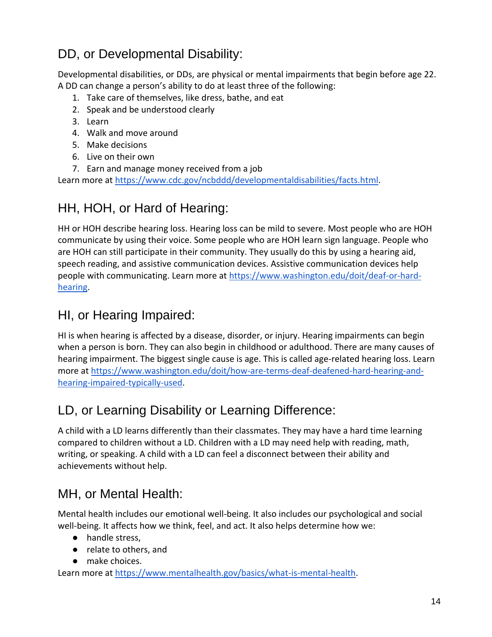#### <span id="page-13-0"></span>DD, or Developmental Disability:

Developmental disabilities, or DDs, are physical or mental impairments that begin before age 22. A DD can change a person's ability to do at least three of the following:

- 1. Take care of themselves, like dress, bathe, and eat
- 2. Speak and be understood clearly
- 3. Learn
- 4. Walk and move around
- 5. Make decisions
- 6. Live on their own
- 7. Earn and manage money received from a job

<span id="page-13-1"></span>Learn more at [https://www.cdc.gov/ncbddd/developmentaldisabilities/facts.html.](https://www.cdc.gov/ncbddd/developmentaldisabilities/facts.html)

#### HH, HOH, or Hard of Hearing:

HH or HOH describe hearing loss. Hearing loss can be mild to severe. Most people who are HOH communicate by using their voice. Some people who are HOH learn sign language. People who are HOH can still participate in their community. They usually do this by using a hearing aid, speech reading, and assistive communication devices. Assistive communication devices help people with communicating. Learn more at [https://www.washington.edu/doit/deaf-or-hard](https://www.washington.edu/doit/deaf-or-hard-hearing)[hearing.](https://www.washington.edu/doit/deaf-or-hard-hearing)

#### <span id="page-13-2"></span>HI, or Hearing Impaired:

HI is when hearing is affected by a disease, disorder, or injury. Hearing impairments can begin when a person is born. They can also begin in childhood or adulthood. There are many causes of hearing impairment. The biggest single cause is age. This is called age-related hearing loss. Learn more at [https://www.washington.edu/doit/how-are-terms-deaf-deafened-hard-hearing-and](https://www.washington.edu/doit/how-are-terms-deaf-deafened-hard-hearing-and-hearing-impaired-typically-used)[hearing-impaired-typically-used.](https://www.washington.edu/doit/how-are-terms-deaf-deafened-hard-hearing-and-hearing-impaired-typically-used)

#### <span id="page-13-3"></span>LD, or Learning Disability or Learning Difference:

A child with a LD learns differently than their classmates. They may have a hard time learning compared to children without a LD. Children with a LD may need help with reading, math, writing, or speaking. A child with a LD can feel a disconnect between their ability and achievements without help.

#### <span id="page-13-4"></span>MH, or Mental Health:

Mental health includes our emotional well-being. It also includes our psychological and social well-being. It affects how we think, feel, and act. It also helps determine how we:

- handle stress,
- relate to others, and
- make choices.

[Learn](about:blank) more at [https://www.mentalhealth.gov/basics/what-is-mental-health.](https://www.mentalhealth.gov/basics/what-is-mental-health)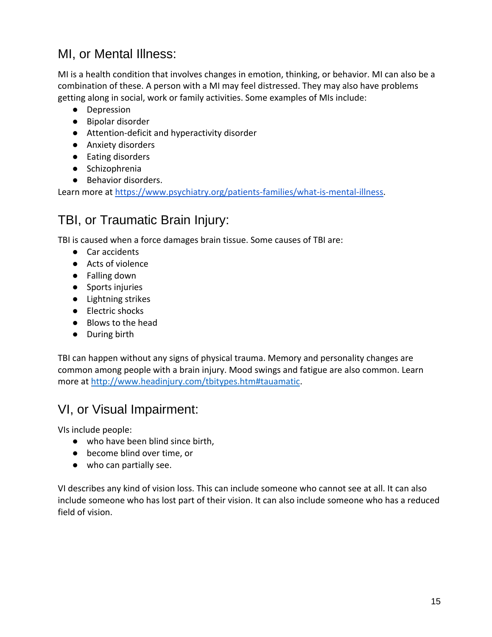#### <span id="page-14-0"></span>MI, or Mental Illness:

MI is a health condition that involves changes in emotion, thinking, or behavior. MI can also be a combination of these. A person with a MI may feel distressed. They may also have problems getting along in social, work or family activities. Some examples of MIs include:

- Depression
- Bipolar disorder
- Attention-deficit and hyperactivity disorder
- Anxiety disorders
- Eating disorders
- Schizophrenia
- Behavior disorders.

<span id="page-14-1"></span>Learn more at [https://www.psychiatry.org/patients-families/what-is-mental-illness.](https://www.psychiatry.org/patients-families/what-is-mental-illness)

#### TBI, or Traumatic Brain Injury:

TBI is caused when a force damages brain tissue. Some causes of TBI are:

- Car accidents
- Acts of violence
- Falling down
- Sports injuries
- Lightning strikes
- Electric shocks
- Blows to the head
- During birth

TBI can happen without any signs of physical trauma. Memory and personality changes are common among people with a brain injury. Mood swings and fatigue are also common. Learn more at [http://www.headinjury.com/tbitypes.htm#tauamatic.](http://www.headinjury.com/tbitypes.htm#tauamatic)

#### <span id="page-14-2"></span>VI, or Visual Impairment:

VIs include people:

- who have been blind since birth,
- become blind over time, or
- who can partially see.

VI describes any kind of vision loss. This can include someone who cannot see at all. It can also include someone who has lost part of their vision. It can also include someone who has a reduced field of vision.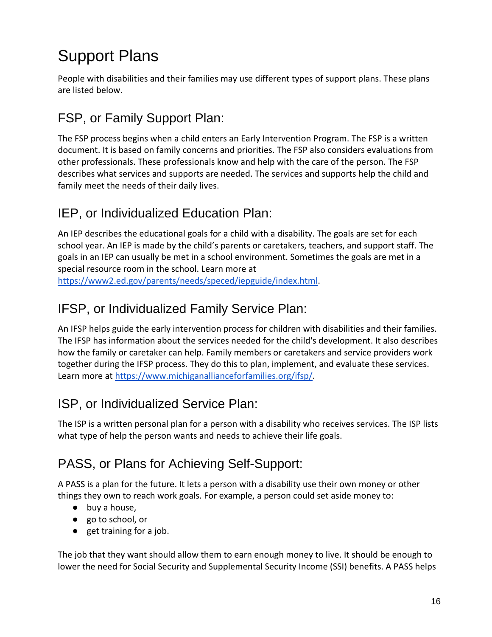## Support Plans

People with disabilities and their families may use different types of support plans. These plans are listed below.

#### <span id="page-15-0"></span>FSP, or Family Support Plan:

The FSP process begins when a child enters an Early Intervention Program. The FSP is a written document. It is based on family concerns and priorities. The FSP also considers evaluations from other professionals. These professionals know and help with the care of the person. The FSP describes what services and supports are needed. The services and supports help the child and family meet the needs of their daily lives.

#### IEP, or Individualized Education Plan:

An IEP describes the educational goals for a child with a disability. The goals are set for each school year. An IEP is made by the child's parents or caretakers, teachers, and support staff. The goals in an IEP can usually be met in a school environment. Sometimes the goals are met in a special resource room in the school. Learn more at [https://www2.ed.gov/parents/needs/speced/iepguide/index.html.](https://www2.ed.gov/parents/needs/speced/iepguide/index.html)

#### IFSP, or Individualized Family Service Plan:

An IFSP helps guide the early intervention process for children with disabilities and their families. The IFSP has information about the services needed for the child's development. It also describes how the family or caretaker can help. Family members or caretakers and service providers work together during the IFSP process. They do this to plan, implement, and evaluate these services. Learn more at [https://www.michiganallianceforfamilies.org/ifsp/.](https://www.michiganallianceforfamilies.org/ifsp/)

#### <span id="page-15-1"></span>ISP, or Individualized Service Plan:

The ISP is a written personal plan for a person with a disability who receives services. The ISP lists what type of help the person wants and needs to achieve their life goals.

#### <span id="page-15-2"></span>PASS, or Plans for Achieving Self-Support:

A PASS is a plan for the future. It lets a person with a disability use their own money or other things they own to reach work goals. For example, a person could set aside money to:

- buy a house,
- go to school, or
- get training for a job.

The job that they want should allow them to earn enough money to live. It should be enough to lower the need for Social Security and Supplemental Security Income (SSI) benefits. A PASS helps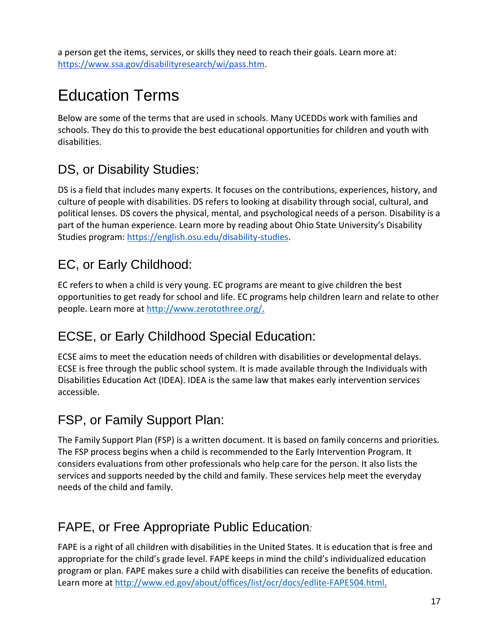a person get the items, services, or skills they need to reach their goals. Learn more at: [https://www.ssa.gov/disabilityresearch/wi/pass.htm.](https://www.ssa.gov/disabilityresearch/wi/pass.htm)

## Education Terms

Below are some of the terms that are used in schools. Many UCEDDs work with families and schools. They do this to provide the best educational opportunities for children and youth with disabilities.

#### <span id="page-16-0"></span>DS, or Disability Studies:

DS is a field that includes many experts. It focuses on the contributions, experiences, history, and culture of people with disabilities. DS refers to looking at disability through social, cultural, and political lenses. DS covers the physical, mental, and psychological needs of a person. Disability is a part of the human experience. Learn more by reading about Ohio State University's Disability Studies program: [https://english.osu.edu/disability-studies.](https://english.osu.edu/disability-studies)

#### <span id="page-16-1"></span>EC, or Early Childhood:

EC refers to when a child is very young. EC programs are meant to give children the best opportunities to get ready for school and life. EC programs help children learn and relate to other people. Learn more at [http://www.zerotothree.org/.](http://www.zerotothree.org/)

#### <span id="page-16-2"></span>ECSE, or Early Childhood Special Education:

ECSE aims to meet the education needs of children with disabilities or developmental delays. ECSE is free through the public school system. It is made available through the Individuals with Disabilities Education Act (IDEA). IDEA is the same law that makes early intervention services accessible.

#### FSP, or Family Support Plan:

The Family Support Plan (FSP) is a written document. It is based on family concerns and priorities. The FSP process begins when a child is recommended to the Early Intervention Program. It considers evaluations from other professionals who help care for the person. It also lists the services and supports needed by the child and family. These services help meet the everyday needs of the child and family.

#### <span id="page-16-3"></span>FAPE, or Free Appropriate Public Education*:*

FAPE is a right of all children with disabilities in the United States. It is education that is free and appropriate for the child's grade level. FAPE keeps in mind the child's individualized education program or plan. FAPE makes sure a child with disabilities can receive the benefits of education. Learn more at [http://www.ed.gov/about/offices/list/ocr/docs/edlite-FAPE504.html.](http://www.ed.gov/about/offices/list/ocr/docs/edlite-FAPE504.html)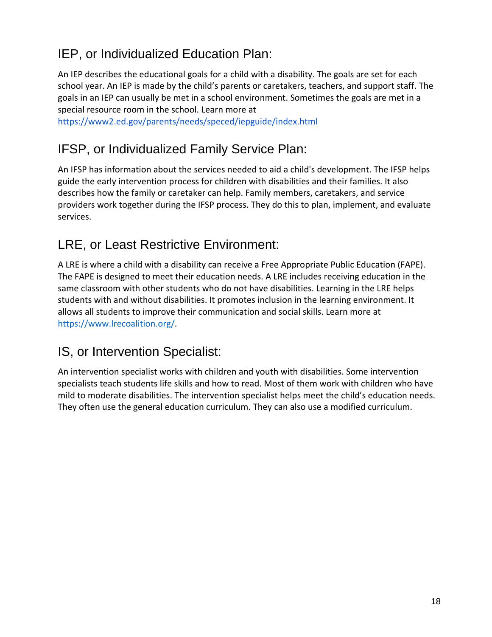#### <span id="page-17-0"></span>IEP, or Individualized Education Plan:

An IEP describes the educational goals for a child with a disability. The goals are set for each school year. An IEP is made by the child's parents or caretakers, teachers, and support staff. The goals in an IEP can usually be met in a school environment. Sometimes the goals are met in a special resource room in the school. Learn more at

<span id="page-17-1"></span><https://www2.ed.gov/parents/needs/speced/iepguide/index.html>

#### IFSP, or Individualized Family Service Plan:

An IFSP has information about the services needed to aid a child's development. The IFSP helps guide the early intervention process for children with disabilities and their families. It also describes how the family or caretaker can help. Family members, caretakers, and service providers work together during the IFSP process. They do this to plan, implement, and evaluate services.

#### <span id="page-17-3"></span>LRE, or Least Restrictive Environment:

A LRE is where a child with a disability can receive a Free Appropriate Public Education (FAPE). The FAPE is designed to meet their education needs. A LRE includes receiving education in the same classroom with other students who do not have disabilities. Learning in the LRE helps students with and without disabilities. It promotes inclusion in the learning environment. It allows all students to improve their communication and social skills. Learn more at [https://www.lrecoalition.org/.](https://www.lrecoalition.org/)

#### <span id="page-17-2"></span>IS, or Intervention Specialist:

An intervention specialist works with children and youth with disabilities. Some intervention specialists teach students life skills and how to read. Most of them work with children who have mild to moderate disabilities. The intervention specialist helps meet the child's education needs. They often use the general education curriculum. They can also use a modified curriculum.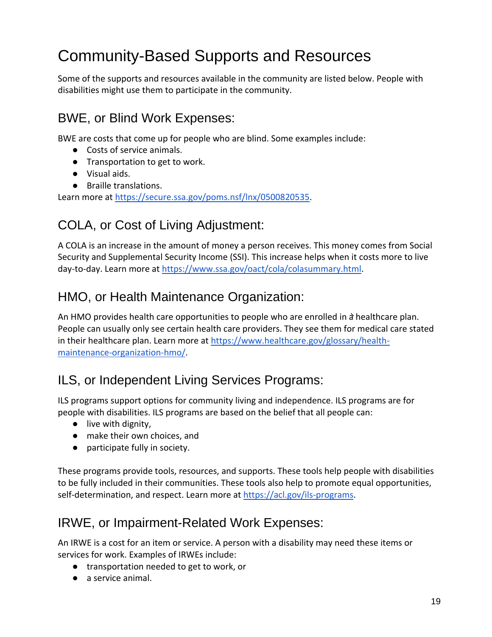## Community-Based Supports and Resources

Some of the supports and resources available in the community are listed below. People with disabilities might use them to participate in the community.

#### <span id="page-18-0"></span>BWE, or Blind Work Expenses:

BWE are costs that come up for people who are blind. Some examples include:

- Costs of service animals.
- Transportation to get to work.
- Visual aids.
- Braille translations.

<span id="page-18-1"></span>Learn more at [https://secure.ssa.gov/poms.nsf/lnx/0500820535.](https://secure.ssa.gov/poms.nsf/lnx/0500820535)

#### COLA, or Cost of Living Adjustment:

A COLA is an increase in the amount of money a person receives. This money comes from Social Security and Supplemental Security Income (SSI). This increase helps when it costs more to live day-to-day. Learn more at [https://www.ssa.gov/oact/cola/colasummary.html.](https://www.ssa.gov/oact/cola/colasummary.html)

#### <span id="page-18-2"></span>HMO, or Health Maintenance Organization:

An HMO provides health care opportunities to people who are enrolled in a healthcare plan. People can usually only see certain health care providers. They see them for medical care stated in their healthcare plan. Learn more at [https://www.healthcare.gov/glossary/health](https://www.healthcare.gov/glossary/health-maintenance-organization-hmo/)[maintenance-organization-hmo/.](https://www.healthcare.gov/glossary/health-maintenance-organization-hmo/)

#### <span id="page-18-3"></span>ILS, or Independent Living Services Programs:

ILS programs support options for community living and independence. ILS programs are for people with disabilities. ILS programs are based on the belief that all people can:

- live with dignity,
- make their own choices, and
- participate fully in society.

These programs provide tools, resources, and supports. These tools help people with disabilities to be fully included in their communities. These tools also help to promote equal opportunities, self-determination, and respect. Learn more at [https://acl.gov/ils-programs.](https://acl.gov/ils-programs)

#### <span id="page-18-4"></span>IRWE, or Impairment-Related Work Expenses:

An IRWE is a cost for an item or service. A person with a disability may need these items or services for work. Examples of IRWEs include:

- transportation needed to get to work, or
- a service animal.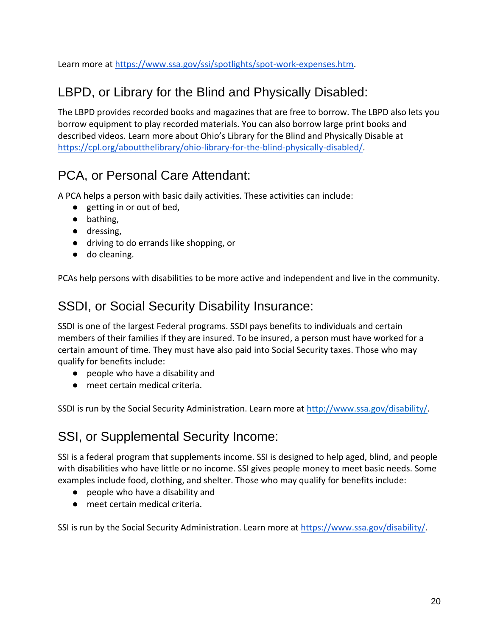<span id="page-19-0"></span>Learn more at [https://www.ssa.gov/ssi/spotlights/spot-work-expenses.htm.](https://www.ssa.gov/ssi/spotlights/spot-work-expenses.htm)

#### LBPD, or Library for the Blind and Physically Disabled:

The LBPD provides recorded books and magazines that are free to borrow. The LBPD also lets you borrow equipment to play recorded materials. You can also borrow large print books and described videos. Learn more about Ohio's Library for the Blind and Physically Disable at [https://cpl.org/aboutthelibrary/ohio-library-for-the-blind-physically-disabled/.](https://cpl.org/aboutthelibrary/ohio-library-for-the-blind-physically-disabled/)

#### <span id="page-19-1"></span>PCA, or Personal Care Attendant:

A PCA helps a person with basic daily activities. These activities can include:

- getting in or out of bed,
- bathing,
- dressing,
- driving to do errands like shopping, or
- do cleaning.

<span id="page-19-2"></span>PCAs help persons with disabilities to be more active and independent and live in the community.

#### SSDI, or Social Security Disability Insurance:

SSDI is one of the largest Federal programs. SSDI pays benefits to individuals and certain members of their families if they are insured. To be insured, a person must have worked for a certain amount of time. They must have also paid into Social Security taxes. Those who may qualify for benefits include:

- people who have a disability and
- meet certain medical criteria.

<span id="page-19-3"></span>SSDI is run by the Social Security Administration. Learn more at [http://www.ssa.gov/disability/.](http://www.ssa.gov/disability/)

#### SSI, or Supplemental Security Income:

SSI is a federal program that supplements income. SSI is designed to help aged, blind, and people with disabilities who have little or no income. SSI gives people money to meet basic needs. Some examples include food, clothing, and shelter. Those who may qualify for benefits include:

- people who have a disability and
- meet certain medical criteria.

SSI is run by the Social Security Administration. Learn more at [https://www.ssa.gov/disability/.](https://www.ssa.gov/disability/)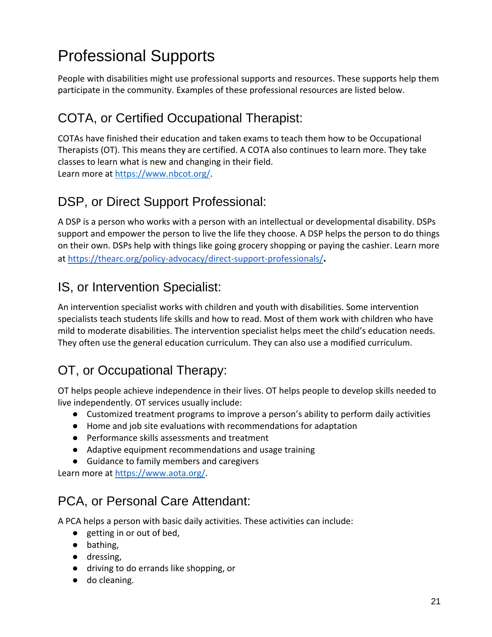## Professional Supports

People with disabilities might use professional supports and resources. These supports help them participate in the community. Examples of these professional resources are listed below.

#### <span id="page-20-0"></span>COTA, or Certified Occupational Therapist:

COTAs have finished their education and taken exams to teach them how to be Occupational Therapists (OT). This means they are certified. A COTA also continues to learn more. They take classes to learn what is new and changing in their field. Learn more at [https://www.nbcot.org/.](https://www.nbcot.org/)

#### <span id="page-20-1"></span>DSP, or Direct Support Professional:

A DSP is a person who works with a person with an intellectual or developmental disability. DSPs support and empower the person to live the life they choose. A DSP helps the person to do things on their own. DSPs help with things like going grocery shopping or paying the cashier. Learn more at<https://thearc.org/policy-advocacy/direct-support-professionals/>**.**

#### IS, or Intervention Specialist:

An intervention specialist works with children and youth with disabilities. Some intervention specialists teach students life skills and how to read. Most of them work with children who have mild to moderate disabilities. The intervention specialist helps meet the child's education needs. They often use the general education curriculum. They can also use a modified curriculum.

#### <span id="page-20-2"></span>OT, or Occupational Therapy:

OT helps people achieve independence in their lives. OT helps people to develop skills needed to live independently. OT services usually include:

- Customized treatment programs to improve a person's ability to perform daily activities
- Home and job site evaluations with recommendations for adaptation
- Performance skills assessments and treatment
- Adaptive equipment recommendations and usage training
- Guidance to family members and caregivers

Learn more at [https://www.aota.org/.](https://www.aota.org/)

#### PCA, or Personal Care Attendant:

A PCA helps a person with basic daily activities. These activities can include:

- getting in or out of bed,
- bathing,
- dressing,
- driving to do errands like shopping, or
- do cleaning.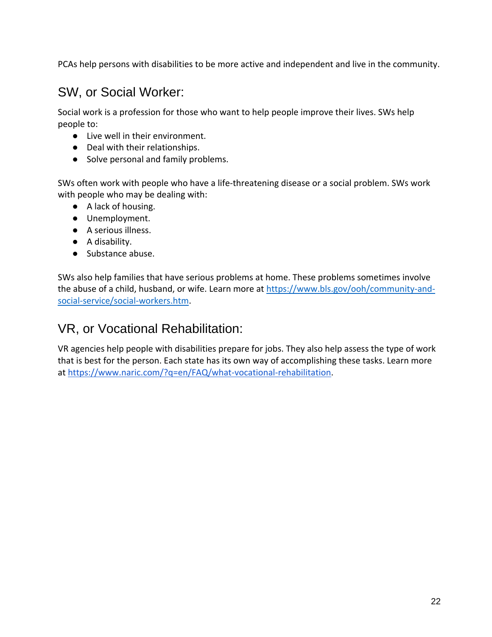<span id="page-21-0"></span>PCAs help persons with disabilities to be more active and independent and live in the community.

#### SW, or Social Worker:

Social work is a profession for those who want to help people improve their lives. SWs help people to:

- Live well in their environment.
- Deal with their relationships.
- Solve personal and family problems.

SWs often work with people who have a life-threatening disease or a social problem. SWs work with people who may be dealing with:

- A lack of housing.
- Unemployment.
- A serious illness.
- A disability.
- Substance abuse.

SWs also help families that have serious problems at home. These problems sometimes involve the abuse of a child, husband, or wife. Learn more at [https://www.bls.gov/ooh/community-and](https://www.bls.gov/ooh/community-and-social-service/social-workers.htm)[social-service/social-workers.htm.](https://www.bls.gov/ooh/community-and-social-service/social-workers.htm)

#### <span id="page-21-1"></span>VR, or Vocational Rehabilitation:

VR agencies help people with disabilities prepare for jobs. They also help assess the type of work that is best for the person. Each state has its own way of accomplishing these tasks. Learn more at [https://www.naric.com/?q=en/FAQ/what-vocational-rehabilitation.](https://www.naric.com/?q=en/FAQ/what-vocational-rehabilitation)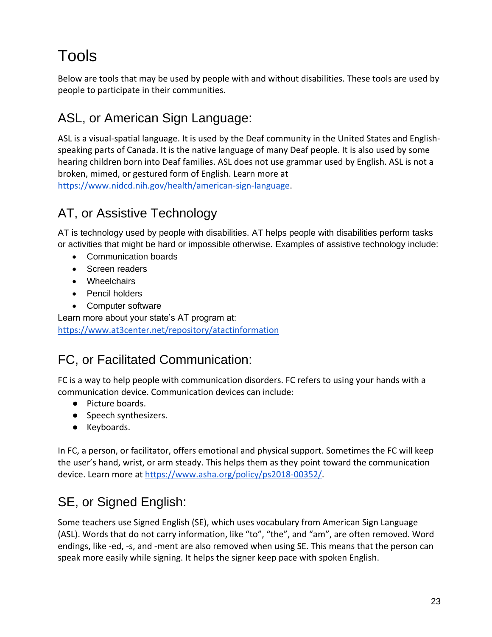## Tools

Below are tools that may be used by people with and without disabilities. These tools are used by people to participate in their communities.

#### <span id="page-22-0"></span>ASL, or American Sign Language:

ASL is a visual-spatial language. It is used by the Deaf community in the United States and Englishspeaking parts of Canada. It is the native language of many Deaf people. It is also used by some hearing children born into Deaf families. ASL does not use grammar used by English. ASL is not a broken, mimed, or gestured form of English. Learn more at [https://www.nidcd.nih.gov/health/american-sign-language.](https://www.nidcd.nih.gov/health/american-sign-language)

#### AT, or Assistive Technology

AT is technology used by people with disabilities. AT helps people with disabilities perform tasks or activities that might be hard or impossible otherwise. Examples of assistive technology include:

- Communication boards
- Screen readers
- Wheelchairs
- Pencil holders
- Computer software

Learn more about your state's AT program at: https://www.at3center.net/repository/atactinformation

#### <span id="page-22-1"></span>FC, or Facilitated Communication:

FC is a way to help people with communication disorders. FC refers to using your hands with a communication device. Communication devices can include:

- Picture boards.
- Speech synthesizers.
- Keyboards.

In FC, a person, or facilitator, offers emotional and physical support. Sometimes the FC will keep the user's hand, wrist, or arm steady. This helps them as they point toward the communication device. Learn more at [https://www.asha.org/policy/ps2018-00352/.](https://www.asha.org/policy/ps2018-00352/)

#### <span id="page-22-2"></span>SE, or Signed English:

Some teachers use Signed English (SE), which uses vocabulary from American Sign Language (ASL). Words that do not carry information, like "to", "the", and "am", are often removed. Word endings, like -ed, -s, and -ment are also removed when using SE. This means that the person can speak more easily while signing. It helps the signer keep pace with spoken English.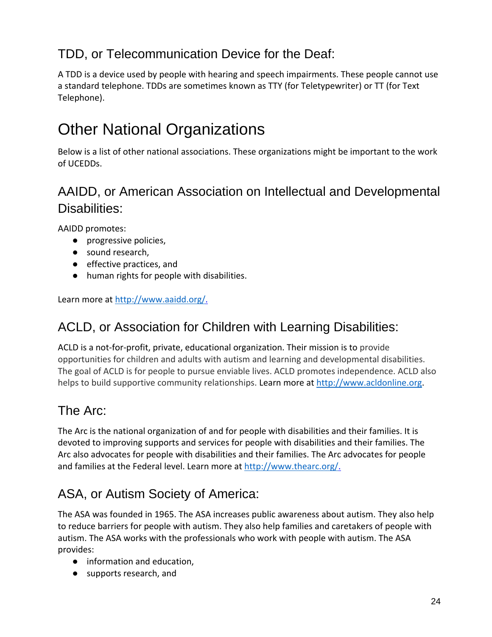#### <span id="page-23-4"></span>TDD, or Telecommunication Device for the Deaf:

A TDD is a device used by people with hearing and speech impairments. These people cannot use a standard telephone. TDDs are sometimes known as TTY (for Teletypewriter) or TT (for Text Telephone).

## Other National Organizations

Below is a list of other national associations. These organizations might be important to the work of UCEDDs.

#### <span id="page-23-0"></span>AAIDD, or American Association on Intellectual and Developmental Disabilities:

AAIDD promotes:

- progressive policies,
- sound research,
- effective practices, and
- human rights for people with disabilities.

<span id="page-23-1"></span>Learn more at [http://www.aaidd.org/.](http://www.aaidd.org/)

#### ACLD, or Association for Children with Learning Disabilities:

ACLD is a not-for-profit, private, educational organization. Their mission is to provide opportunities for children and adults with autism and learning and developmental disabilities. The goal of ACLD is for people to pursue enviable lives. ACLD promotes independence. ACLD also helps to build supportive community relationships. Learn more at [http://www.acldonline.org.](http://www.acldonline.org/)

#### <span id="page-23-2"></span>The Arc:

The Arc is the national organization of and for people with disabilities and their families. It is devoted to improving supports and services for people with disabilities and their families. The Arc also advocates for people with disabilities and their families. The Arc advocates for people and families at the Federal level. Learn more at [http://www.thearc.org/.](http://www.thearc.org/)

#### <span id="page-23-3"></span>ASA, or Autism Society of America:

The ASA was founded in 1965. The ASA increases public awareness about autism. They also help to reduce barriers for people with autism. They also help families and caretakers of people with autism. The ASA works with the professionals who work with people with autism. The ASA provides:

- information and education,
- supports research, and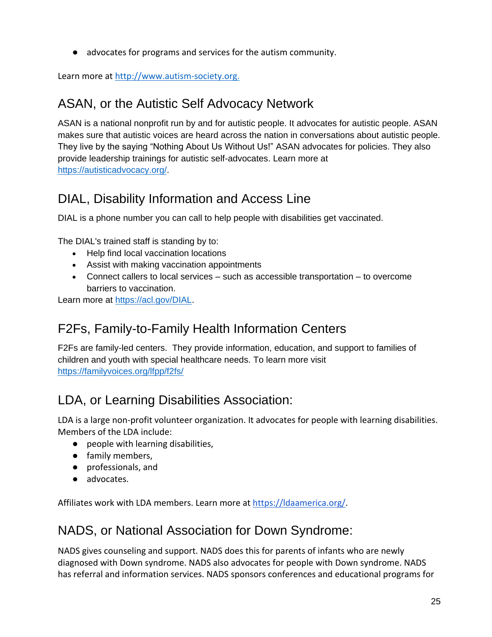● advocates for programs and services for the autism community.

<span id="page-24-0"></span>Learn more at http://www.autism-society.org.

#### ASAN, or the Autistic Self Advocacy Network

ASAN is a national nonprofit run by and for autistic people. It advocates for autistic people. ASAN makes sure that autistic voices are heard across the nation in conversations about autistic people. They live by the saying "Nothing About Us Without Us!" ASAN advocates for policies. They also provide leadership trainings for autistic self-advocates. Learn more at [https://autisticadvocacy.org/.](https://autisticadvocacy.org/)

#### <span id="page-24-1"></span>DIAL, Disability Information and Access Line

DIAL is a phone number you can call to help people with disabilities get vaccinated.

The DIAL's trained staff is standing by to:

- Help find local vaccination locations
- Assist with making vaccination appointments
- Connect callers to local services such as accessible transportation to overcome barriers to vaccination.

<span id="page-24-2"></span>Learn more at [https://acl.gov/DIAL.](https://acl.gov/DIAL)

#### F2Fs, Family-to-Family Health Information Centers

F2Fs are family-led centers. They provide information, education, and support to families of children and youth with special healthcare needs. To learn more visit <https://familyvoices.org/lfpp/f2fs/>

#### LDA, or Learning Disabilities Association:

LDA is a large non-profit volunteer organization. It advocates for people with learning disabilities. Members of the LDA include:

- people with learning disabilities,
- family members,
- professionals, and
- advocates.

<span id="page-24-3"></span>Affiliates work with LDA members. Learn more at [https://ldaamerica.org/.](https://ldaamerica.org/)

#### NADS, or National Association for Down Syndrome:

NADS gives counseling and support. NADS does this for parents of infants who are newly diagnosed with Down syndrome. NADS also advocates for people with Down syndrome. NADS has referral and information services. NADS sponsors conferences and educational programs for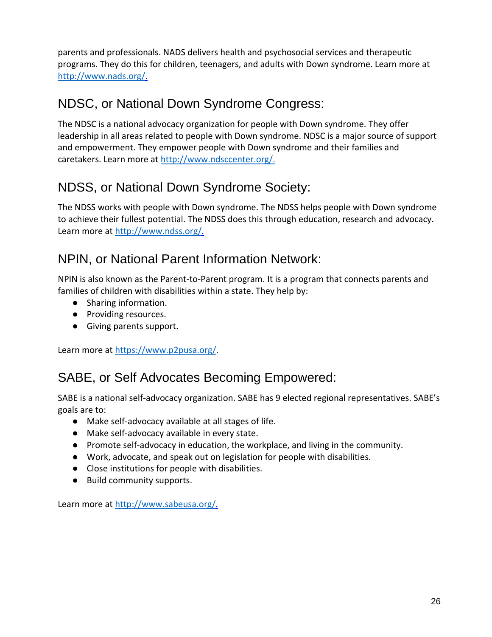parents and professionals. NADS delivers health and psychosocial services and therapeutic programs. They do this for children, teenagers, and adults with Down syndrome. Learn more at [http://www.nads.org/.](http://www.nads.org/)

#### <span id="page-25-0"></span>NDSC, or National Down Syndrome Congress:

The NDSC is a national advocacy organization for people with Down syndrome. They offer leadership in all areas related to people with Down syndrome. NDSC is a major source of support and empowerment. They empower people with Down syndrome and their families and caretakers. Learn more at [http://www.ndsccenter.org/.](http://www.ndsccenter.org/)

#### <span id="page-25-1"></span>NDSS, or National Down Syndrome Society:

The NDSS works with people with Down syndrome. The NDSS helps people with Down syndrome to achieve their fullest potential. The NDSS does this through education, research and advocacy. Learn more at [http://www.ndss.org/.](http://www.ndss.org/)

#### <span id="page-25-2"></span>NPIN, or National Parent Information Network:

NPIN is also known as the Parent-to-Parent program. It is a program that connects parents and families of children with disabilities within a state. They help by:

- Sharing information.
- Providing resources.
- Giving parents support.

<span id="page-25-3"></span>Learn more at [https://www.p2pusa.org/.](https://www.p2pusa.org/)

#### SABE, or Self Advocates Becoming Empowered:

SABE is a national self-advocacy organization. SABE has 9 elected regional representatives. SABE's goals are to:

- Make self-advocacy available at all stages of life.
- Make self-advocacy available in every state.
- Promote self-advocacy in education, the workplace, and living in the community.
- Work, advocate, and speak out on legislation for people with disabilities.
- Close institutions for people with disabilities.
- Build community supports.

Learn more at [http://www.sabeusa.org/.](http://www.sabeusa.org/)